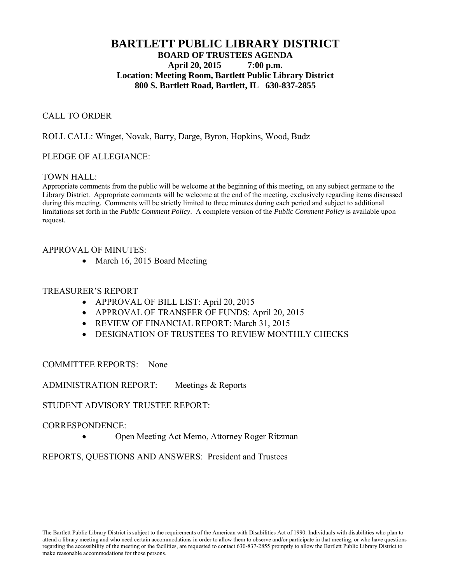# **BARTLETT PUBLIC LIBRARY DISTRICT BOARD OF TRUSTEES AGENDA April 20, 2015 7:00 p.m. Location: Meeting Room, Bartlett Public Library District 800 S. Bartlett Road, Bartlett, IL 630-837-2855**

# CALL TO ORDER

ROLL CALL: Winget, Novak, Barry, Darge, Byron, Hopkins, Wood, Budz

## PLEDGE OF ALLEGIANCE:

## TOWN HALL:

Appropriate comments from the public will be welcome at the beginning of this meeting, on any subject germane to the Library District. Appropriate comments will be welcome at the end of the meeting, exclusively regarding items discussed during this meeting. Comments will be strictly limited to three minutes during each period and subject to additional limitations set forth in the *Public Comment Policy*. A complete version of the *Public Comment Policy* is available upon request.

## APPROVAL OF MINUTES:

• March 16, 2015 Board Meeting

#### TREASURER'S REPORT

- APPROVAL OF BILL LIST: April 20, 2015
- APPROVAL OF TRANSFER OF FUNDS: April 20, 2015
- REVIEW OF FINANCIAL REPORT: March 31, 2015
- DESIGNATION OF TRUSTEES TO REVIEW MONTHLY CHECKS

## COMMITTEE REPORTS: None

ADMINISTRATION REPORT: Meetings & Reports

## STUDENT ADVISORY TRUSTEE REPORT:

## CORRESPONDENCE:

Open Meeting Act Memo, Attorney Roger Ritzman

REPORTS, QUESTIONS AND ANSWERS: President and Trustees